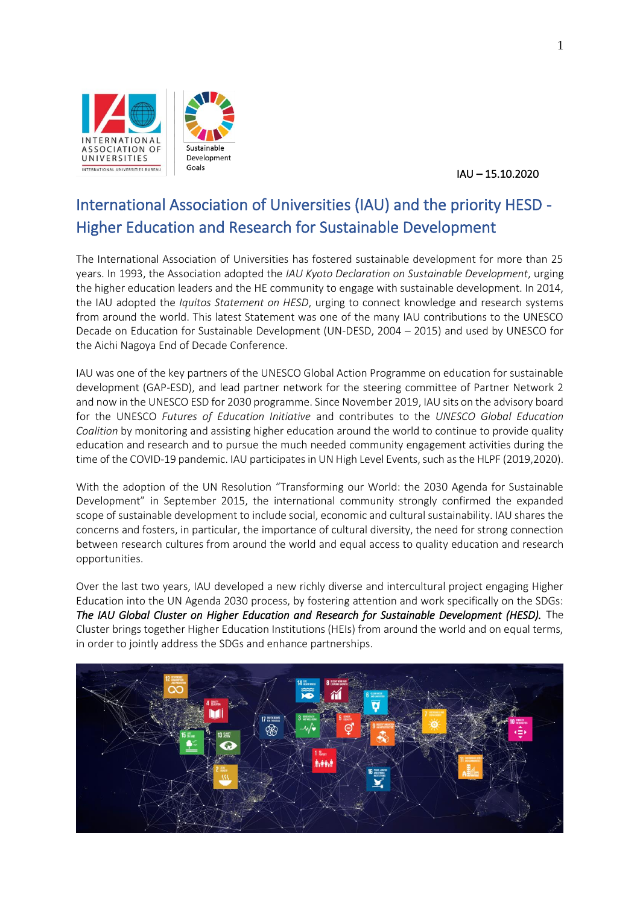

IAU – 15.10.2020

# International Association of Universities (IAU) and the priority HESD - Higher Education and Research for Sustainable Development

The International Association of Universities has fostered sustainable development for more than 25 years. In 1993, the Association adopted the *IAU Kyoto Declaration on Sustainable Development*, urging the higher education leaders and the HE community to engage with sustainable development. In 2014, the IAU adopted the *Iquitos Statement on HESD*, urging to connect knowledge and research systems from around the world. This latest Statement was one of the many IAU contributions to the UNESCO Decade on Education for Sustainable Development (UN-DESD, 2004 – 2015) and used by UNESCO for the Aichi Nagoya End of Decade Conference.

IAU was one of the key partners of the UNESCO Global Action Programme on education for sustainable development (GAP-ESD), and lead partner network for the steering committee of Partner Network 2 and now in the UNESCO ESD for 2030 programme. Since November 2019, IAU sits on the advisory board for the UNESCO *Futures of Education Initiative* and contributes to the *UNESCO Global Education Coalition* by monitoring and assisting higher education around the world to continue to provide quality education and research and to pursue the much needed community engagement activities during the time of the COVID-19 pandemic. IAU participates in UN High Level Events, such as the HLPF (2019,2020).

With the adoption of the UN Resolution "Transforming our World: the 2030 Agenda for Sustainable Development" in September 2015, the international community strongly confirmed the expanded scope of sustainable development to include social, economic and cultural sustainability. IAU shares the concerns and fosters, in particular, the importance of cultural diversity, the need for strong connection between research cultures from around the world and equal access to quality education and research opportunities.

Over the last two years, IAU developed a new richly diverse and intercultural project engaging Higher Education into the UN Agenda 2030 process, by fostering attention and work specifically on the SDGs: *The IAU Global Cluster on Higher Education and Research for Sustainable Development (HESD).* The Cluster brings together Higher Education Institutions (HEIs) from around the world and on equal terms, in order to jointly address the SDGs and enhance partnerships.

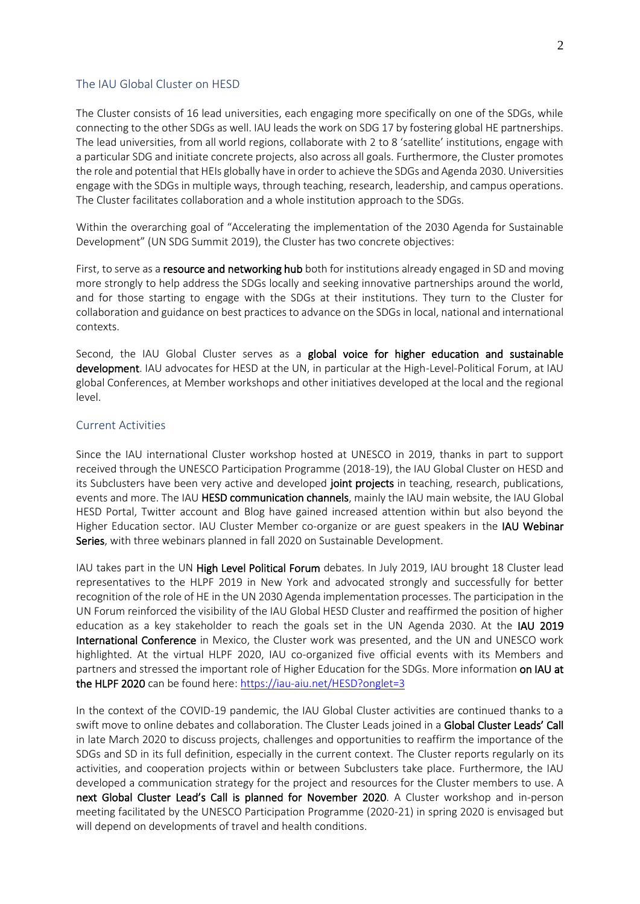#### The IAU Global Cluster on HESD

The Cluster consists of 16 lead universities, each engaging more specifically on one of the SDGs, while connecting to the other SDGs as well. IAU leads the work on SDG 17 by fostering global HE partnerships. The lead universities, from all world regions, collaborate with 2 to 8 'satellite' institutions, engage with a particular SDG and initiate concrete projects, also across all goals. Furthermore, the Cluster promotes the role and potential that HEIs globally have in order to achieve the SDGs and Agenda 2030. Universities engage with the SDGs in multiple ways, through teaching, research, leadership, and campus operations. The Cluster facilitates collaboration and a whole institution approach to the SDGs.

Within the overarching goal of "Accelerating the implementation of the 2030 Agenda for Sustainable Development" (UN SDG Summit 2019), the Cluster has two concrete objectives:

First, to serve as a resource and networking hub both for institutions already engaged in SD and moving more strongly to help address the SDGs locally and seeking innovative partnerships around the world, and for those starting to engage with the SDGs at their institutions. They turn to the Cluster for collaboration and guidance on best practices to advance on the SDGs in local, national and international contexts.

Second, the IAU Global Cluster serves as a global voice for higher education and sustainable development. IAU advocates for HESD at the UN, in particular at the High-Level-Political Forum, at IAU global Conferences, at Member workshops and other initiatives developed at the local and the regional level.

### Current Activities

Since the IAU international Cluster workshop hosted at UNESCO in 2019, thanks in part to support received through the UNESCO Participation Programme (2018-19), the IAU Global Cluster on HESD and its Subclusters have been very active and developed joint projects in teaching, research, publications, events and more. The IAU HESD communication channels, mainly the IAU main website, the IAU Global HESD Portal, Twitter account and Blog have gained increased attention within but also beyond the Higher Education sector. IAU Cluster Member co-organize or are guest speakers in the **IAU Webinar** Series, with three webinars planned in fall 2020 on Sustainable Development.

IAU takes part in the UN High Level Political Forum debates. In July 2019, IAU brought 18 Cluster lead representatives to the HLPF 2019 in New York and advocated strongly and successfully for better recognition of the role of HE in the UN 2030 Agenda implementation processes. The participation in the UN Forum reinforced the visibility of the IAU Global HESD Cluster and reaffirmed the position of higher education as a key stakeholder to reach the goals set in the UN Agenda 2030. At the IAU 2019 International Conference in Mexico, the Cluster work was presented, and the UN and UNESCO work highlighted. At the virtual HLPF 2020, IAU co-organized five official events with its Members and partners and stressed the important role of Higher Education for the SDGs. More information on IAU at the HLPF 2020 can be found here[: https://iau-aiu.net/HESD?onglet=3](https://iau-aiu.net/HESD?onglet=3)

In the context of the COVID-19 pandemic, the IAU Global Cluster activities are continued thanks to a swift move to online debates and collaboration. The Cluster Leads joined in a Global Cluster Leads' Call in late March 2020 to discuss projects, challenges and opportunities to reaffirm the importance of the SDGs and SD in its full definition, especially in the current context. The Cluster reports regularly on its activities, and cooperation projects within or between Subclusters take place. Furthermore, the IAU developed a communication strategy for the project and resources for the Cluster members to use. A next Global Cluster Lead's Call is planned for November 2020. A Cluster workshop and in-person meeting facilitated by the UNESCO Participation Programme (2020-21) in spring 2020 is envisaged but will depend on developments of travel and health conditions.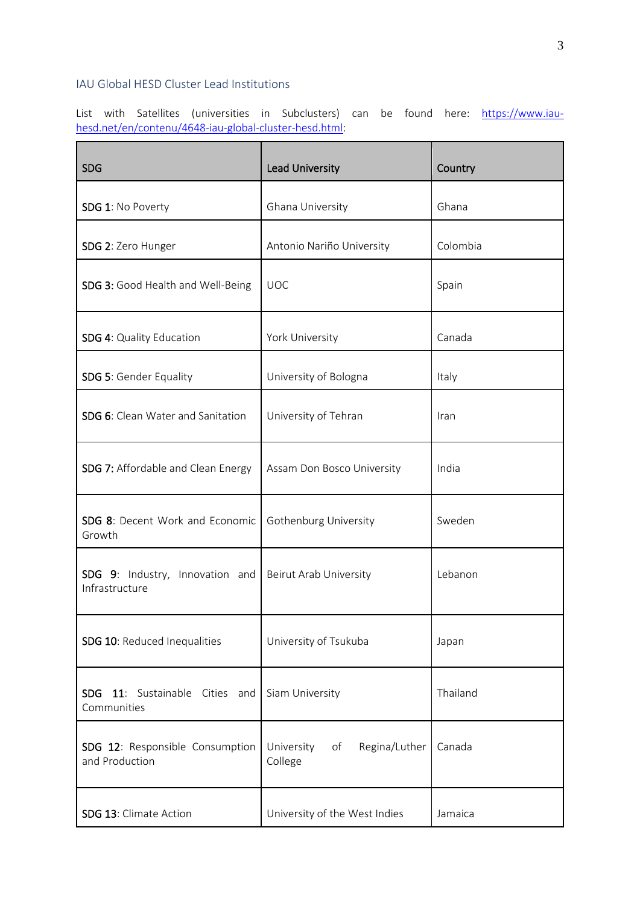## IAU Global HESD Cluster Lead Institutions

List with Satellites (universities in Subclusters) can be found here: <u>https://www.iau-</u> [hesd.net/en/contenu/4648-iau-global-cluster-hesd.html:](https://www.iau-hesd.net/en/contenu/4648-iau-global-cluster-hesd.html)

| <b>SDG</b>                                                    | <b>Lead University</b>                       | Country  |
|---------------------------------------------------------------|----------------------------------------------|----------|
| SDG 1: No Poverty                                             | Ghana University                             | Ghana    |
| SDG 2: Zero Hunger                                            | Antonio Nariño University                    | Colombia |
| SDG 3: Good Health and Well-Being                             | <b>UOC</b>                                   | Spain    |
| SDG 4: Quality Education                                      | York University                              | Canada   |
| <b>SDG 5: Gender Equality</b>                                 | University of Bologna                        | Italy    |
| SDG 6: Clean Water and Sanitation                             | University of Tehran                         | Iran     |
| <b>SDG 7:</b> Affordable and Clean Energy                     | Assam Don Bosco University                   | India    |
| SDG 8: Decent Work and Economic<br>Growth                     | Gothenburg University                        | Sweden   |
| SDG 9: Industry, Innovation and<br>Infrastructure             | Beirut Arab University                       | Lebanon  |
| SDG 10: Reduced Inequalities                                  | University of Tsukuba                        | Japan    |
| 11: Sustainable<br><b>SDG</b><br>Cities<br>and<br>Communities | Siam University                              | Thailand |
| SDG 12: Responsible Consumption<br>and Production             | University<br>of<br>Regina/Luther<br>College | Canada   |
| SDG 13: Climate Action                                        | University of the West Indies                | Jamaica  |